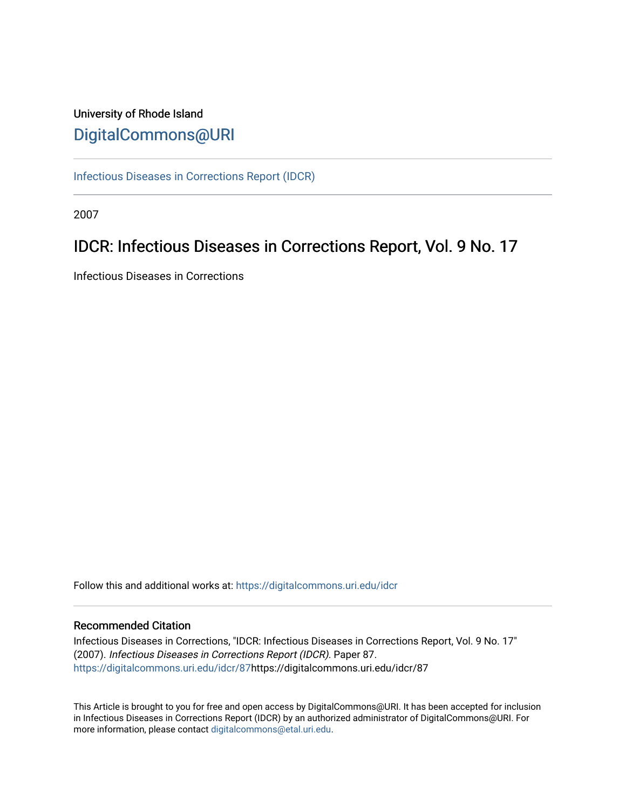# University of Rhode Island [DigitalCommons@URI](https://digitalcommons.uri.edu/)

[Infectious Diseases in Corrections Report \(IDCR\)](https://digitalcommons.uri.edu/idcr)

2007

# IDCR: Infectious Diseases in Corrections Report, Vol. 9 No. 17

Infectious Diseases in Corrections

Follow this and additional works at: [https://digitalcommons.uri.edu/idcr](https://digitalcommons.uri.edu/idcr?utm_source=digitalcommons.uri.edu%2Fidcr%2F87&utm_medium=PDF&utm_campaign=PDFCoverPages)

### Recommended Citation

Infectious Diseases in Corrections, "IDCR: Infectious Diseases in Corrections Report, Vol. 9 No. 17" (2007). Infectious Diseases in Corrections Report (IDCR). Paper 87. [https://digitalcommons.uri.edu/idcr/87h](https://digitalcommons.uri.edu/idcr/87?utm_source=digitalcommons.uri.edu%2Fidcr%2F87&utm_medium=PDF&utm_campaign=PDFCoverPages)ttps://digitalcommons.uri.edu/idcr/87

This Article is brought to you for free and open access by DigitalCommons@URI. It has been accepted for inclusion in Infectious Diseases in Corrections Report (IDCR) by an authorized administrator of DigitalCommons@URI. For more information, please contact [digitalcommons@etal.uri.edu.](mailto:digitalcommons@etal.uri.edu)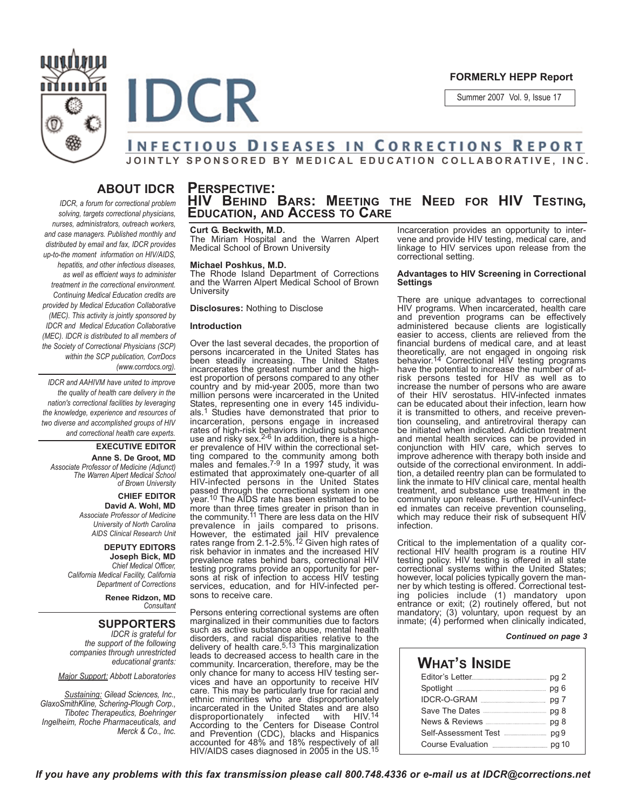

#### **FORMERLY HEPP Report**

Summer 2007 Vol. 9, Issue 17

### **INFECTIOUS DISEASES IN CORRECTIONS REPORT** JOINTLY SPONSORED BY MEDICAL EDUCATION COLLABORATIVE, INC.

## **ABOUT IDCR**

*IDCR, a forum for correctional problem solving, targets correctional physicians, nurses, administrators, outreach workers, and case managers. Published monthly and distributed by email and fax, IDCR provides up-to-the moment information on HIV/AIDS, hepatitis, and other infectious diseases, as well as efficient ways to administer treatment in the correctional environment. Continuing Medical Education credits are provided by Medical Education Collaborative (MEC). This activity is jointly sponsored by IDCR and Medical Education Collaborative (MEC). IDCR is distributed to all members of the Society of Correctional Physicians (SCP) within the SCP publication, CorrDocs (www.corrdocs.org).*

*IDCR and AAHIVM have united to improve the quality of health care delivery in the nation's correctional facilities by leveraging the knowledge, experience and resources of two diverse and accomplished groups of HIV and correctional health care experts.* 

**EXECUTIVE EDITOR Anne S. De Groot, MD** *Associate Professor of Medicine (Adjunct) The Warren Alpert Medical School of Brown University*

> **CHIEF EDITOR David A. Wohl, MD** *Associate Professor of Medicine University of North Carolina AIDS Clinical Research Unit*

**DEPUTY EDITORS Joseph Bick, MD** *Chief Medical Officer, California Medical Facility, California Department of Corrections*

> **Renee Ridzon, MD** *Consultant*

### **SUPPORTERS**

*IDCR is grateful for the support of the following companies through unrestricted educational grants:*

#### *Major Support: Abbott Laboratories*

*Sustaining: Gilead Sciences, Inc., GlaxoSmithKline, Schering-Plough Corp., Tibotec Therapeutics, Boehringer Ingelheim, Roche Pharmaceuticals, and Merck & Co., Inc.*

# **PERSPECTIVE: HIV BEHIND BARS: MEETING THE NEED FOR HIV TESTING, EDUCATION, AND ACCESS TO CARE**

#### **Curt G. Beckwith, M.D.**

The Miriam Hospital and the Warren Alpert Medical School of Brown University

#### **Michael Poshkus, M.D.**

The Rhode Island Department of Corrections and the Warren Alpert Medical School of Brown University

**Disclosures: Nothing to Disclose** 

#### **Introduction**

**IDCR** 

Over the last several decades, the proportion of persons incarcerated in the United States has been steadily increasing. The United States incarcerates the greatest number and the highest proportion of persons compared to any other country and by mid-year 2005, more than two million persons were incarcerated in the United States, representing one in every 145 individuals.1 Studies have demonstrated that prior to incarceration, persons engage in increased rates of high-risk behaviors including substance<br>use and risky sex.<sup>2-6</sup> In addition, there is a higher prevalence of HIV within the correctional setting compared to the community among both males and females. $7-9$  In a 1997 study, it was estimated that approximately one-quarter of all HIV-infected persons in the United States passed through the correctional system in one<br>year.<sup>10</sup> The AIDS rate has been estimated to be more than three times greater in prison than in<br>the community.<sup>11</sup> There are less data on the HIV prevalence in jails compared to prisons.<br>However, the estimated jail HIV prevalence rates range from 2.1-2.5%.<sup>12</sup> Given high rates of risk behavior in inmates and the increased HIV prevalence rates behind bars, correctional HIV testing programs provide an opportunity for persons at risk of infection to access HIV testing services, education, and for HIV-infected persons to receive care.

Persons entering correctional systems are often marginalized in their communities due to factors such as active substance abuse, mental health disorders, and racial disparities relative to the<br>delivery of health care.<sup>5,13</sup> This marginalization leads to decreased access to health care in the community. Incarceration, therefore, may be the only chance for many to access HIV testing services and have an opportunity to receive HIV care. This may be particularly true for racial and ethnic minorities who are disproportionatel; incarcerated in the United States and are also<br>disproportionately infected with HIV.<sup>14</sup> disproportionately infected with HIV.<sup>14</sup><br>According to the Centers for Disease Control and Prevention (CDC), blacks and Hispanics accounted for 48% and 18% respectively of all HIV/AIDS cases diagnosed in 2005 in the US.<sup>15</sup> Incarceration provides an opportunity to intervene and provide HIV testing, medical care, and linkage to HIV services upon release from the correctional setting.

#### **Advantages to HIV Screening in Correctional Settings**

There are unique advantages to correctional HIV programs. When incarcerated, health care and prevention programs can be effectively administered because clients are logistically easier to access, clients are relieved from the financial burdens of medical care, and at least theoretically, are not engaged in ongoing risk<br>behavior.<sup>14</sup> Correctional HIV testing programs have the potential to increase the number of atrisk persons tested for HIV as well as to increase the number of persons who are aware of their HIV serostatus. HIV-infected inmates can be educated about their infection, learn how it is transmitted to others, and receive prevention counseling, and antiretroviral therapy can be initiated when indicated. Addiction treatment and mental health services can be provided in conjunction with HIV care, which serves to improve adherence with therapy both inside and outside of the correctional environment. In addition, a detailed reentry plan can be formulated to link the inmate to HIV clinical care, mental health treatment, and substance use treatment in the community upon release. Further, HIV-uninfected inmates can receive prevention counseling, which may reduce their risk of subsequent HIV infection.

Critical to the implementation of a quality correctional HIV health program is a routine HIV testing policy. HIV testing is offered in all state correctional systems within the United States; however, local policies typically govern the manner by which testing is offered. Correctional testing policies include (1) mandatory upon entrance or exit; (2) routinely offered, but not mandatory; (3) voluntary, upon request by an  $imrate$ ;  $(4)$  performed when clinically indicated,

#### **Continued on page 3**

| News & Reviews <b>Constructs</b> pg 8   |
|-----------------------------------------|
| Self-Assessment Test <b>Manual</b> Pg 9 |
|                                         |
|                                         |

If you have any problems with this fax transmission please call 800.748.4336 or e-mail us at IDCR@corrections.net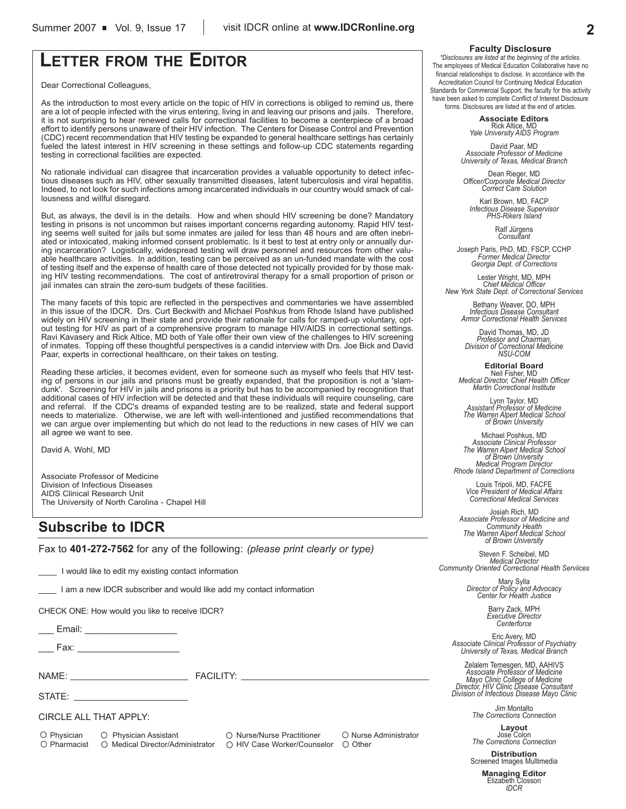# **LETTER FROM THE EDITOR**

Dear Correctional Colleagues,

As the introduction to most every article on the topic of HIV in corrections is obliged to remind us, there are a lot of people infected with the virus entering, living in and leaving our prisons and jails. Therefore, it is not surprising to hear renewed calls for correctional facilities to become a centerpiece of a broad effort to identify persons unaware of their HIV infection. The Centers for Disease Control and Prevention (CDC) recent recommendation that HIV testing be expanded to general healthcare settings has certainly fueled the latest interest in HIV screening in these settings and follow-up CDC statements regarding testing in correctional facilities are expected.

No rationale individual can disagree that incarceration provides a valuable opportunity to detect infectious diseases such as HIV, other sexually transmitted diseases, latent tuberculosis and viral hepatitis. Indeed, to not look for such infections among incarcerated individuals in our country would smack of callousness and willful disregard.

But, as always, the devil is in the details. How and when should HIV screening be done? Mandatory testing in prisons is not uncommon but raises important concerns regarding autonomy. Rapid HIV testing seems well suited for jails but some inmates are jailed for less than 48 hours and are often inebriated or intoxicated, making informed consent problematic. Is it best to test at entry only or annually during incarceration? Logistically, widespread testing will draw personnel and resources from other valuable healthcare activities. In addition, testing can be perceived as an un-funded mandate with the cost of testing itself and the expense of health care of those detected not typically provided for by those making HIV testing recommendations. The cost of antiretroviral therapy for a small proportion of prison or jail inmates can strain the zero-sum budgets of these facilities.

The many facets of this topic are reflected in the perspectives and commentaries we have assembled in this issue of the IDCR. Drs. Curt Beckwith and Michael Poshkus from Rhode Island have published widely on HIV screening in their state and provide their rationale for calls for ramped-up voluntary, optout testing for HIV as part of a comprehensive program to manage HIV/AIDS in correctional settings. Ravi Kavasery and Rick Altice, MD both of Yale offer their own view of the challenges to HIV screening of inmates. Topping off these thoughtful perspectives is a candid interview with Drs. Joe Bick and David Paar, experts in correctional healthcare, on their takes on testing.

Reading these articles, it becomes evident, even for someone such as myself who feels that HIV testing of persons in our jails and prisons must be greatly expanded, that the proposition is not a 'slamdunk'. Screening for HIV in jails and prisons is a priority but has to be accompanied by recognition that additional cases of HIV infection will be detected and that these individuals will require counseling, care and referral. If the CDC's dreams of expanded testing are to be realized, state and federal support needs to materialize. Otherwise, we are left with well-intentioned and justified recommendations that we can argue over implementing but which do not lead to the reductions in new cases of HIV we can all agree we want to see.

David A. Wohl, MD

Associate Professor of Medicine Division of Infectious Diseases AIDS Clinical Research Unit The University of North Carolina - Chapel Hill

## **Subscribe to IDCR**

Fax to **401-272-7562** for any of the following: *(please print clearly or type)* 

I would like to edit my existing contact information

I am a new IDCR subscriber and would like add my contact information

CHECK ONE: How would you like to receive IDCR?

ee Email: <u>\_\_\_\_\_\_\_\_\_\_\_\_\_\_\_\_\_\_\_\_\_\_\_</u>

Fax: eeeeeeeeeeee

@A%`: ^ACIbI!h:

STATE: \_\_\_\_\_\_\_\_

CIRCLE ALL THAT APPLY:

O Physician @ Physician Assistant @ O Nurse/Nurse Practitioner @ O Nurse Administrator  $\bigcirc$  Pharmacist  $\bigcirc$  Medical Director/Administrator  $\bigcirc$  HIV Case Worker/Counselor  $\bigcirc$  Other

#### **Faculty Disclosure**

*\*Disclosures are listed at the beginning of the articles.* The employees of Medical Education Collaborative have no financial relationships to disclose. In accordance with the Accreditation Council for Continuing Medical Education Standards for Commercial Support, the faculty for this activity have been asked to complete Conflict of Interest Disclosure forms. Disclosures are listed at the end of articles.

> **Associate Editors** Rick Altice, MD *Yale University AIDS Program*

David Paar, MD *Associate Professor of Medicine University of Texas, Medical Branch*

Dean Rieger, MD *Officer/Corporate Medical Director Correct Care Solution*

Karl Brown, MD, FACP *Infectious Disease Supervisor PHS-Rikers Island*

Ralf Jürgens *Consultant*

Joseph Paris, PhD, MD, FSCP, CCHP *Former Medical Director Georgia Dept. of Corrections*

Lester Wright, MD, MPH *Chief Medical Officer New York State Dept. of Correctional Services*

> Bethany Weaver, DO, MPH *Infectious Disease Consultant Armor Correctional Health Services*

David Thomas, MD, JD *Professor and Chairman, Division of Correctional Medicine NSU-COM*

**Editorial Board** Neil Fisher, MD *Medical Director, Chief Health Officer Martin Correctional Institute*

Lynn Taylor, MD *Assistant Professor of Medicine The Warren Alpert Medical School of Brown University*

Michael Poshkus, MD *Associate Clinical Professor The Warren Alpert Medical School of Brown University Medical Program Director Rhode Island Department of Corrections*

Louis Tripoli, MD, FACFE *Vice President of Medical Affairs Correctional Medical Services*

Josiah Rich, MD *Associate Professor of Medicine and Community Health The Warren Alpert Medical School of Brown University*

Steven F. Scheibel, MD *Medical Director Community Oriented Correctional Health Serviices*

Mary Sylla *Director of Policy and Advocacy Center for Health Justice*

Barry Zack, MPH *Executive Director Centerforce*

Eric Avery, MD *Associate Clinical Professor of Psychiatry University of Texas, Medical Branch*

Zelalem Temesgen, MD, AAHIVS *Associate Professor of Medicine Mayo Clinic College of Medicine Director, HIV Clinic Disease Consultant Division of Infectious Disease Mayo Clinic*

Jim Montalto *The Corrections Connection*

**Layout** Jose Colon *The Corrections Connection*

**Distribution**<br>Screened Images Multimedia

**Managing Editor** Elizabeth Closson *IDCR*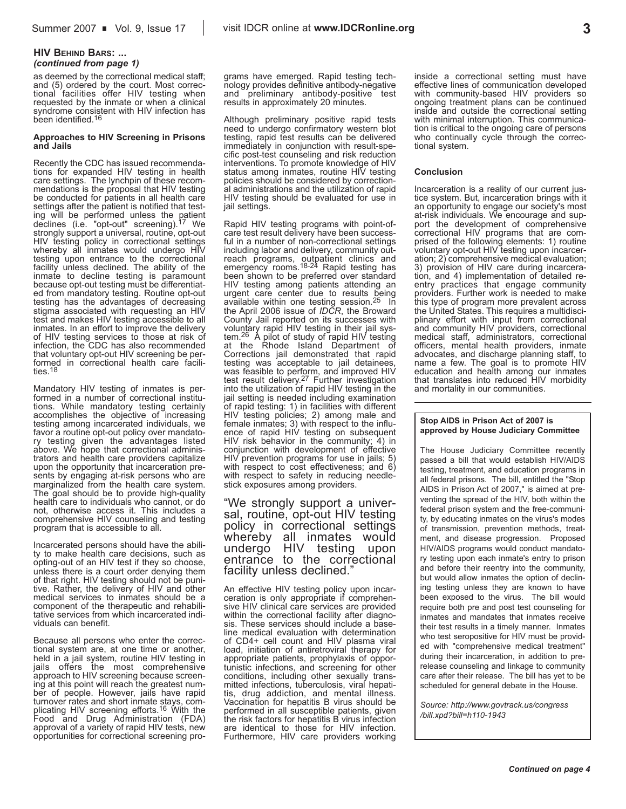#### **HIV BEHIND BARS: ...** *(continued from page 1)*

as deemed by the correctional medical staff; and (5) ordered by the court. Most correctional facilities offer HIV testing when requested by the inmate or when a clinical syndrome consistent with HIV infection has been identified.<sup>16</sup>

#### **Approaches to HIV Screening in Prisons and Jails**

Recently the CDC has issued recommendations for expanded HIV testing in health care settings. The lynchpin of these recommendations is the proposal that HIV testing be conducted for patients in all health care settings after the patient is notified that testing will be performed unless the patient<br>declines (i.e. "opt-out" screening).<sup>17</sup> We strongly support a universal, routine, opt-out HIV testing policy in correctional settings whereby all inmates would undergo HIV testing upon entrance to the correctional facility unless declined. The ability of the inmate to decline testing is paramount because opt-out testing must be differentiated from mandatory testing. Routine opt-out testing has the advantages of decreasing stigma associated with requesting an HIV test and makes HIV testing accessible to all inmates. In an effort to improve the delivery of HIV testing services to those at risk of infection, the CDC has also recommended that voluntary opt-out HIV screening be performed in correctional health care facilities.18

Mandatory HIV testing of inmates is performed in a number of correctional institutions. While mandatory testing certainly accomplishes the objective of increasing testing among incarcerated individuals, we favor a routine opt-out policy over mandatory testing given the advantages listed above. We hope that correctional administrators and health care providers capitalize upon the opportunity that incarceration presents by engaging at-risk persons who are marginalized from the health care system. The goal should be to provide high-quality health care to individuals who cannot, or do not, otherwise access it. This includes a comprehensive HIV counseling and testing program that is accessible to all.

Incarcerated persons should have the ability to make health care decisions, such as opting-out of an HIV test if they so choose, unless there is a court order denying them of that right. HIV testing should not be punitive. Rather, the delivery of HIV and other medical services to inmates should be a component of the therapeutic and rehabilitative services from which incarcerated individuals can benefit.

Because all persons who enter the correctional system are, at one time or another, tional system are, at one time or another,<br>held in a jail system, routine HIV testing in jails offers the most comprehensive approach to HIV screening because screening at this point will reach the greatest number of people. However, jails have rapid turnover rates and short inmate stays, com-<br>plicating HIV screening efforts.<sup>16</sup> With the Food and Drug Administration (FDA) approval of a variety of rapid HIV tests, new opportunities for correctional screening programs have emerged. Rapid testing technology provides definitive antibody-negative<br>and \_preliminary \_antibody-positive \_test preliminary antibody-positive test results in approximately 20 minutes.

Although preliminary positive rapid tests need to undergo confirmatory western blot testing, rapid test results can be delivered immediately in conjunction with result-specific post-test counseling and risk reduction interventions. To promote knowledge of HIV status among inmates, routine HIV testing policies should be considered by correctional administrations and the utilization of rapid HIV testing should be evaluated for use in iail settings.

Rapid HIV testing programs with point-ofcare test result delivery have been successful in a number of non-correctional settings including labor and delivery, community outreach programs, outpatient clinics and<br>emergency rooms.<sup>18-24</sup> Rapid testing has been shown to be preferred over standard HIV testing among patients attending an urgent care center due to results being available within one testing session.25 In the April 2006 issue of *IDCR*, the Broward County Jail reported on its successes with voluntary rapid HIV testing in their jail system.<sup>26</sup> A pilot of study of rapid HIV testing at the Rhode Island Department of Corrections jail demonstrated that rapid testing was acceptable to jail detainees, was feasible to perform, and improved HIV<br>test result delivery.<sup>27</sup> Further investigation into the utilization of rapid HIV testing in the jail setting is needed including examination of rapid testing: 1) in facilities with different HIV testing policies; 2) among male and female inmates; 3) with respect to the influence of rapid HIV testing on subsequent HIV risk behavior in the community; 4) in conjunction with development of effective  $HIV$  prevention programs for use in jails; 5) with respect to cost effectiveness; and  $6$ ) with respect to safety in reducing needlestick exposures among providers.

"We strongly support a universal, routine, opt-out HIV testing<br>policy in correctional settings whereby all inmates would undergo HIV testing upon entrance to the correctional facility unless declined.

An effective HIV testing policy upon incarceration is only appropriate if comprehensive HIV clinical care services are provided within the correctional facility after diagnosis. These services should include a baseline medical evaluation with determination of CD4+ cell count and HIV plasma viral load, initiation of antiretroviral therapy for appropriate patients, prophylaxis of opportunistic infections, and screening for other conditions, including other sexually transmitted infections, tuberculosis, viral hepati-<br>tis. drug addiction. and mental illness. Vaccination for hepatitis B virus should be performed in all susceptible patients, given the risk factors for hepatitis B virus infection are identical to those for HIV infection. Furthermore, HIV care providers working

inside a correctional setting must have effective lines of communication developed with community-based HIV providers so ongoing treatment plans can be continued inside and outside the correctional setting with minimal interruption. This communication is critical to the ongoing care of persons who continually cycle through the correctional system.

#### **Conclusion**

Incarceration is a reality of our current justice system. But, incarceration brings with it an opportunity to engage our society's most at-risk individuals. We encourage and support the development of comprehensive correctional HIV programs that are comprised of the following elements: 1) routine voluntary opt-out HIV testing upon incarceration; 2) comprehensive medical evaluation; 3) provision of HIV care during incarceration, and 4) implementation of detailed reentry practices that engage community providers. Further work is needed to make this type of program more prevalent across the United States. This requires a multidisciplinary effort with input from correctional and community HIV providers, correctional medical staff, administrators, correctional officers, mental health providers, inmate advocates, and discharge planning staff, to name a few. The goal is to promote HIV education and health among our inmates that translates into reduced HIV morbidity and mortality in our communities.

#### **Stop AIDS in Prison Act of 2007 is approved by House Judiciary Committee**

The House Judiciary Committee recently passed a bill that would establish HIV/AIDS testing, treatment, and education programs in all federal prisons. The bill, entitled the "Stop AIDS in Prison Act of 2007," is aimed at preventing the spread of the HIV, both within the federal prison system and the free-community, by educating inmates on the virus's modes of transmission, prevention methods, treatment, and disease progression. Proposed HIV/AIDS programs would conduct mandatory testing upon each inmate's entry to prison and before their reentry into the community, but would allow inmates the option of declining testing unless they are known to have been exposed to the virus. The bill would require both pre and post test counseling for inmates and mandates that inmates receive their test results in a timely manner. Inmates who test seropositive for HIV must be provided with "comprehensive medical treatment" during their incarceration, in addition to prerelease counseling and linkage to community care after their release. The bill has yet to be scheduled for general debate in the House.

*Source: http://www.govtrack.us/congress /bill.xpd?bill=h110-1943*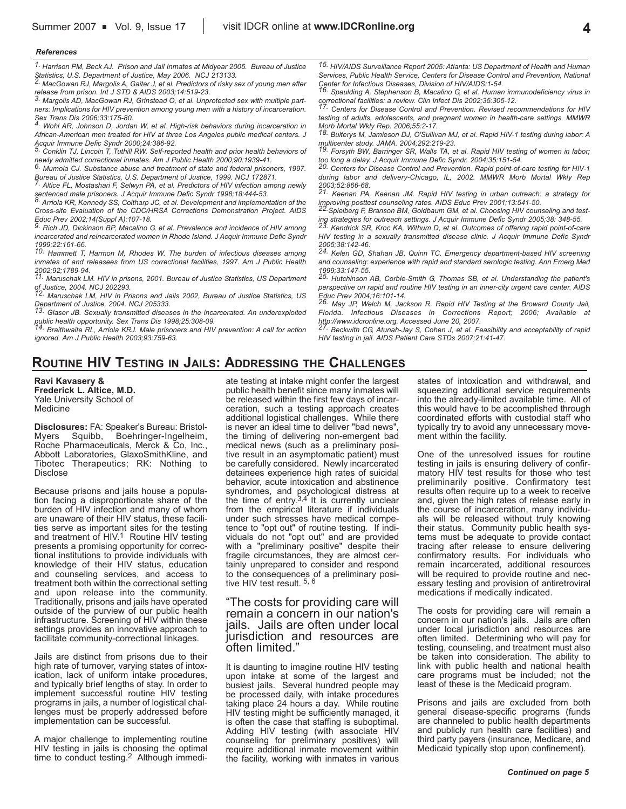### **4**

#### *Ae"erences*

*1. Harrison PM, Beck AJ. Prison and Jail Inmates at Midyear 2005. Bureau of Justice*

*Statistics, U.S. Department of Justice, May 2006. NCJ 213133. 2. MacGowan RJ, Margolis A, Gaiter J, et al. Predictors of risky sex of young men after release from prison. Int J STD & AIDS 2003;14:519-23. 3. Margolis AD, MacGowan RJ, Grinstead O, et al. Unprotected sex with multiple part-*

*ners: Implications for HIV prevention among young men with a history of incarceration. Sex Trans Dis 2006;33:175-80. 4. Wohl AR, Johnson D, Jordan W, et al. High-risk behaviors during incarceration in*

*African-American men treated for HIV at three Los Angeles public medical centers. J*

*Acquir Immune Defic Syndr 2000;24:386-92. 5. Conklin TJ, Lincoln T, Tuthill RW. Self-reported health and prior health behaviors of*

*newly admitted correctional inmates. Am J Public Health 2000;90:1939-41. 6. Mumola CJ. Substance abuse and treatment of state and federal prisoners, 1997. Bureau of Justice Statistics, U.S. Department of Justice, 1999. NCJ 172871.*

*7. Altice FL, Mostashari F, Selwyn PA, et al. Predictors of HIV infection among newly*

*sentenced male prisoners. J Acquir Immune Defic Syndr 1998;18:444-53. 8. Arriola KR, Kennedy SS, Coltharp JC, et al. Development and implementation of the Cross-site Evaluation of the CDC/HRSA Corrections Demonstration Project. AIDS*

*Educ Prev 2002;14(Suppl A):107-18. 9. Rich JD, Dickinson BP, Macalino G, et al. Prevalence and incidence of HIV among incarcerated and reincarcerated women in Rhode Island. J Acquir Immune Defic Syndr*

*1999;22:161-66. 10. Hammett T, Harmon M, Rhodes W. The burden of infectious diseases among inmates of and releasees from US correctional facilities, 1997. Am J Public Health 2002;92;1789-94.*

*11. Maruschak LM. HIV in prisons, 2001. Bureau of Justice Statistics, US Department of Justice, 2004. NCJ 202293.*

*12. Maruschak LM, HIV in Prisons and Jails 2002, Bureau of Justice Statistics, US Department of Justice, 2004. NCJ 205333.*

*13. Glaser JB. Sexually transmitted diseases in the incarcerated. An underexploited*

*public health opportunity. Sex Trans Dis 1998;25:308-09. 14. Braithwaite RL, Arriola KRJ. Male prisoners and HIV prevention: A call for action ignored. Am J Public Health 2003;93:759-63.*

*15. HIV/AIDS Surveillance Report 2005: Atlanta: US Department of Health and Human Services, Public Health Service, Centers for Disease Control and Prevention, National Center for Infectious Diseases, Division of HIV/AIDS:1-54. 16. Spaulding A, Stephenson B, Macalino G, et al. Human immunodeficiency virus in*

*correctional facilities: a review. Clin Infect Dis 2002;35:305-12. 17. Centers for Disease Control and Prevention. Revised recommendations for HIV*

*testing of adults, adolescents, and pregnant women in health-care settings. MMWR Morb Mortal Wkly Rep. 2006;55:2-17. 18. Bulterys M, Jamieson DJ, O'Sullivan MJ, et al. Rapid HIV-1 testing during labor: A*

*multicenter study. JAMA. 2004;292:219-23. 19. Forsyth BW, Barringer SR, Walls TA, et al. Rapid HIV testing of women in labor;*

*too long a delay. J Acquir Immune Defic Syndr. 2004;35:151-54. 20. Centers for Disease Control and Prevention. Rapid point-of-care testing for HIV-1*

*during labor and delivery-Chicago, IL, 2002. MMWR Morb Mortal Wkly Rep*

*2003;52:866-68. 21. Keenan PA, Keenan JM. Rapid HIV testing in urban outreach: a strategy for improving posttest counseling rates. AIDS Educ Prev 2001;13:541-50. 22.Spielberg F, Branson BM, Goldbaum GM, et al. Choosing HIV counseling and test-*

*ing strategies for outreach settings. J Acquir Immune Defic Syndr 2005;38: 348-55. 23. Kendrick SR, Kroc KA, Withum D, et al. Outcomes of offering rapid point-of-care*

*HIV testing in a sexually transmitted disease clinic. J Acquir Immune Defic Syndr*

*2005;38:142-46. 24. Kelen GD, Shahan JB, Quinn TC. Emergency department-based HIV screening and counseling: experience with rapid and standard serologic testing. Ann Emerg Med 1999;33:147-55.*

*25. Hutchinson AB, Corbie-Smith G, Thomas SB, et al. Understanding the patient's perspective on rapid and routine HIV testing in an inner-city urgent care center. AIDS*

*Educ Prev 2004;16:101-14. 26. May JP, Welch M, Jackson R. Rapid HIV Testing at the Broward County Jail, Florida. Infectious Diseases in Corrections Report; 2006; Available at http://www.idcronline.org. Accessed June 20, 2007.*

*27. Beckwith CG, Atunah-Jay S, Cohen J, et al. Feasibility and acceptability of rapid HIV testing in jail. AIDS Patient Care STDs 2007;21:41-47.*

## **ROUTINE HIV TESTING IN JAILS: ADDRESSING THE CHALLENGES**

**Ravi Kavasery ^ Frederick L. Altice, M.D.** Yale University School of **Medicine** 

**Disclosures: FA: Speaker's Bureau: Bristol-<br>Myers Squibb, Boehringer-Ingelheim,** Myers Squibb, Boehringer-Ingelheim, Roche Pharmaceuticals, Merck & Co, Inc., Abbott Laboratories, GlaxoSmithKline, and Tibotec Therapeutics: RK: Nothing to Disclose

Because prisons and jails house a population facing a disproportionate share of the burden of HIV infection and many of whom are unaware of their HIV status, these facilities serve as important sites for the testing and treatment of  $HIV<sup>1</sup>$  Routine HIV testing presents a promising opportunity for correctional institutions to provide individuals with knowledge of their HIV status, education and counseling services, and access to treatment both within the correctional setting and upon release into the community. Traditionally, prisons and jails have operated outside of the purview of our public health infrastructure. Screening of HIV within these settings provides an innovative approach to facilitate community-correctional linkages.

Jails are distinct from prisons due to their high rate of turnover, varying states of intoxication, lack of uniform intake procedures, and typically brief lengths of stay. In order to implement successful routine HIV testing programs in jails, a number of logistical challenges must be properly addressed before implementation can be successful.

A major challenge to implementing routine HIV testing in jails is choosing the optimal time to conduct testing.<sup>2</sup> Although immediate testing at intake might confer the largest public health benefit since many inmates will be released within the first few days of incarceration, such a testing approach creates additional logistical challenges. While there is never an ideal time to deliver "bad news", the timing of delivering non-emergent bad medical news (such as a preliminary positive result in an asymptomatic patient) must be carefully considered. Newly incarcerated detainees experience high rates of suicidal behavior, acute intoxication and abstinence syndromes, and psychological distress at the time of entry.<sup>3,4</sup> It is currently unclear from the empirical literature if individuals under such stresses have medical competence to "opt out" of routine testing. If individuals do not "opt out" and are provided with a "preliminary positive" despite their fragile circumstances, they are almost certainly unprepared to consider and respond to the consequences of a preliminary positive HIV test result.  $5, 6$ 

"The costs for providing care will remain a concern in our nation's jails. Jails are often under local jurisdiction and resources are often limited.

It is daunting to imagine routine HIV testing upon intake at some of the largest and busiest jails. Several hundred people may be processed daily, with intake procedures taking place 24 hours a day. While routine HIV testing might be sufficiently managed, it is often the case that staffing is suboptimal. Adding HIV testing (with associate HIV counseling for preliminary positives) will require additional inmate movement within the facility, working with inmates in various states of intoxication and withdrawal, and squeezing additional service requirements into the already-limited available time. All of this would have to be accomplished through coordinated efforts with custodial staff who typically try to avoid any unnecessary movement within the facility.

One of the unresolved issues for routine testing in jails is ensuring delivery of confirmatory HIV test results for those who test preliminarily positive. Confirmatory test results often require up to a week to receive and, given the high rates of release early in the course of incarceration, many individuals will be released without truly knowing their status. Community public health systems must be adequate to provide contact tracing after release to ensure delivering confirmatory results. For individuals who remain incarcerated, additional resources will be required to provide routine and necessary testing and provision of antiretroviral medications if medically indicated.

The costs for providing care will remain a concern in our nation's jails. Jails are often under local jurisdiction and resources are often limited. Determining who will pay for testing, counseling, and treatment must also be taken into consideration. The ability to link with public health and national health care programs must be included; not the least of these is the Medicaid program.

Prisons and jails are excluded from both general disease-specific programs (funds are channeled to public health departments and publicly run health care facilities) and third party payers (insurance, Medicare, and Medicaid typically stop upon confinement).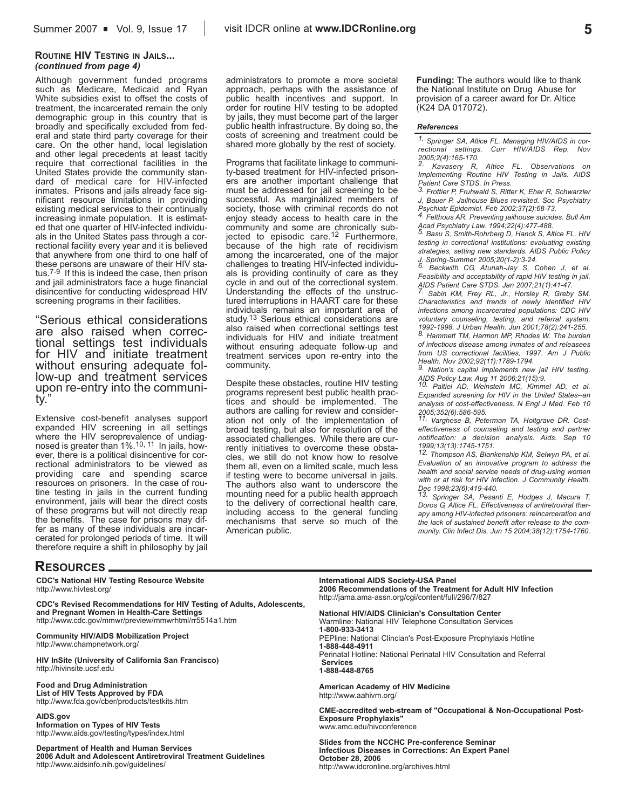#### **ROUTINE HIV TESTING IN JAILS...** *(continued from page 4)*

Although government funded programs such as Medicare, Medicaid and Ryan White subsidies exist to offset the costs of treatment, the incarcerated remain the only demographic group in this country that is broadly and specifically excluded from federal and state third party coverage for their care. On the other hand, local legislation and other legal precedents at least tacitly require that correctional facilities in the United States provide the community standard of medical care for HIV-infected inmates. Prisons and jails already face significant resource limitations in providing existing medical services to their continually increasing inmate population. It is estimated that one quarter of HIV-infected individuals in the United States pass through a correctional facility every year and it is believed that anywhere from one third to one half of these persons are unaware of their HIV sta $t$ us.<sup> $7-9$ </sup> If this is indeed the case, then prison and jail administrators face a huge financial disincentive for conducting widespread HIV screening programs in their facilities.

"Serious ethical considerations are also raised when correctional settings test individuals for HIV and initiate treatment without ensuring adequate follow-up and treatment services upon re-entry into the communitv.'

Extensive cost-benefit analyses support expanded HIV screening in all settings where the HIV seroprevalence of undiagnosed is greater than 1%.<sup>10, 11</sup> In jails, however, there is a political disincentive for correctional administrators to be viewed as providing care and spending scarce resources on prisoners. In the case of routine testing in jails in the current funding environment, jails will bear the direct costs of these programs but will not directly reap the benefits. The case for prisons may differ as many of these individuals are incarcerated for prolonged periods of time. It will therefore require a shift in philosophy by jail administrators to promote a more societal approach, perhaps with the assistance of public health incentives and support. In order for routine HIV testing to be adopted by jails, they must become part of the larger public health infrastructure. By doing so, the costs of screening and treatment could be shared more globally by the rest of society.

Programs that facilitate linkage to community-based treatment for HIV-infected prisoners are another important challenge that must be addressed for jail screening to be successful. As marginalized members of society, those with criminal records do not enjoy steady access to health care in the community and some are chronically subjected to episodic care.<sup>12</sup> Furthermore, because of the high rate of recidivism among the incarcerated, one of the major challenges to treating HIV-infected individuals is providing continuity of care as they cycle in and out of the correctional system. Understanding the effects of the unstructured interruptions in HAART care for these individuals remains an important area of study.<sup>13</sup> Serious ethical considerations are also raised when correctional settings test individuals for HIV and initiate treatment without ensuring adequate follow-up and treatment services upon re-entry into the community.

Despite these obstacles, routine HIV testing programs represent best public health practices and should be implemented. The authors are calling for review and consideration not only of the implementation of broad testing, but also for resolution of the associated challenges. While there are currently initiatives to overcome these obstacles, we still do not know how to resolve them all, even on a limited scale, much less if testing were to become universal in jails. The authors also want to underscore the mounting need for a public health approach to the delivery of correctional health care, including access to the general funding mechanisms that serve so much of the American public.

**Funding:** The authors would like to thank the National Institute on Drug Abuse for provision of a career award for Dr. Altice (K24 DA 017072).

#### *Ae"erences*

*1. Springer SA, Altice FL. Managing HIV/AIDS in correctional settings. Curr HIV/AIDS Rep. Nov 2005;2(4):165-170.*

*2. Kavasery R, Altice FL. Observations on Implementing Routine HIV Testing in Jails. AIDS Patient Care STDS. In Press.*

*3. Frottier P, Fruhwald S, Ritter K, Eher R, Schwarzler J, Bauer P. Jailhouse Blues revisited. Soc Psychiatry*

*Psychiatr Epidemiol. Feb 2002;37(2):68-73. 4. Felthous AR. Preventing jailhouse suicides. Bull Am Acad Psychiatry Law. 1994;22(4):477-488. 5. Basu S, Smith-Rohrberg D, Hanck S, Altice FL. HIV*

*testing in correctional institutions: evaluating existing strategies, setting new standards. AIDS Public Policy J. Spring-Summer 2005;20(1-2):3-24. 6. Beckwith CG, Atunah-Jay S, Cohen J, et al.*

*Feasibility and acceptability of rapid HIV testing in jail. AIDS Patient Care STDS. Jan 2007;21(1):41-47. 7. Sabin KM, Frey RL, Jr., Horsley R, Greby SM.*

*Characteristics and trends of newly identified HIV infections among incarcerated populations: CDC HIV voluntary counseling, testing, and referral system, 1992-1998. J Urban Health. Jun 2001;78(2):241-255. 8. Hammett TM, Harmon MP, Rhodes W. The burden*

*of infectious disease among inmates of and releasees from US correctional facilities, 1997. Am J Public*

*Health. Nov 2002;92(11):1789-1794. 9. Nation's capital implements new jail HIV testing.*

*AIDS Policy Law. Aug 11 2006;21(15):9. 10. Paltiel AD, Weinstein MC, Kimmel AD, et al. Expanded screening for HIV in the United States--an analysis of cost-effectiveness. N Engl J Med. Feb 10*

*2005;352(6):586-595. 11. Varghese B, Peterman TA, Holtgrave DR. Costeffectiveness of counseling and testing and partner notification: a decision analysis. Aids. Sep 10 1999;13(13):1745-1751.*

*12. Thompson AS, Blankenship KM, Selwyn PA, et al. Evaluation of an innovative program to address the health and social service needs of drug-using women with or at risk for HIV infection. J Community Health.*

*Dec 1998;23(6):419-440. 13. Springer SA, Pesanti E, Hodges J, Macura T, Doros G, Altice FL. Effectiveness of antiretroviral therapy among HIV-infected prisoners: reincarceration and the lack of sustained benefit after release to the community. Clin Infect Dis. Jun 15 2004;38(12):1754-1760.*

### **RESOURCES**

**CDC\_s National HIV Testing Resource Website** http://www.hivtest.org/

**CDC\_s Revised Recommendations for HIV Testing of Adults, Adolescents, and Pregnant Women in Health-Care Settings** http://www.cdc.gov/mmwr/preview/mmwrhtml/rr5514a1.htm

**Community HIV/AIDS Mobilization Project** http://www.champnetwork.org/

**HIV InSite (University of California San Francisco)**  http://hivinsite.ucsf.edu

**Food and Drug Administration** 

**List of HIV Tests Approved by FDA** http://www.fda.gov/cber/products/testkits.htm

**AIDS.gov Information on Types of HIV Tests** http://www.aids.gov/testing/types/index.html

**Department of Health and Human Services 2006 Adult and Adolescent Antiretroviral Treatment Guidelines** http://www.aidsinfo.nih.gov/guidelines/

**International AIDS Society-USA Panel 2006 Recommendations of the Treatment for Adult HIV Infection** http://jama.ama-assn.org/cgi/content/full/296/7/827

**National HIV/AIDS Clinician's Consultation Center** Warmline: National HIV Telephone Consultation Services **1-d00-e33-3413** PEPline: National Clincian's Post-Exposure Prophylaxis Hotline **1-ddd-44d-4e11** Perinatal Hotline: National Perinatal HIV Consultation and Referral **Services 1-ddd-44d-d7XW** 

**American Academy of HIV Medicine** http://www.aahivm.org/

**CME-accredited web-stream of "Occupational & Non-Occupational Post-Exposure Prophylaxis"** www.amc.edu/hivconference

**Slides from the NCCHC Pre-conference Seminar Infectious Diseases in Corrections: An Expert Panel October 2d, 200X** http://www.idcronline.org/archives.html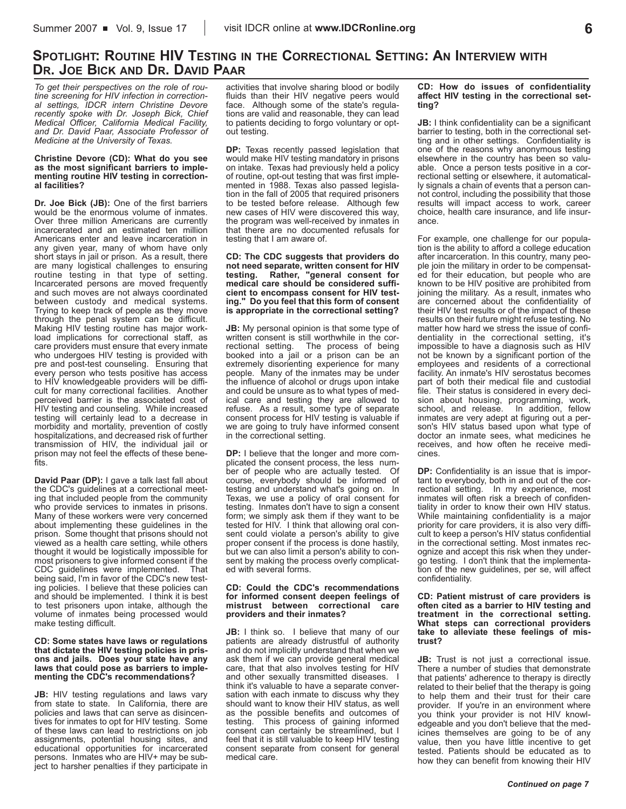## **SPOTLIGHT: ROUTINE HIV TESTING IN THE CORRECTIONAL SETTING: AN INTERVIEW WITH DR. JOE BICK AND DR. DAVID PAAR**

*To get their perspectives on the role of routine screening for HIV infection in correctional settings, IDCR intern Christine Devore recently spoke with Dr. Joseph Bick, Chief Medical Officer, California Medical Facility, and Dr. David Paar, Associate Professor of Medicine at the University of Texas.* 

#### **Christine Devore (CD): What do you see as the most significant barriers to implementing routine HIV testing in correction**al facilities?

**Dr. Joe Bick (JB):** One of the first barriers would be the enormous volume of inmates. Over three million Americans are currently incarcerated and an estimated ten million Americans enter and leave incarceration in any given year, many of whom have only short stays in jail or prison. As a result, there are many logistical challenges to ensuring routine testing in that type of setting. Incarcerated persons are moved frequently and such moves are not always coordinated between custody and medical systems. Trying to keep track of people as they move through the penal system can be difficult. Making HIV testing routine has major workload implications for correctional staff, as care providers must ensure that every inmate who undergoes HIV testing is provided with pre and post-test counseling. Ensuring that every person who tests positive has access to HIV knowledgeable providers will be difficult for many correctional facilities. Another perceived barrier is the associated cost of HIV testing and counseling. While increased testing will certainly lead to a decrease in morbidity and mortality, prevention of costly hospitalizations, and decreased risk of further transmission of HIV, the individual jail or prison may not feel the effects of these benefits.

**David Paar (DP):** I gave a talk last fall about the CDC's guidelines at a correctional meeting that included people from the community who provide services to inmates in prisons. Many of these workers were very concerned about implementing these guidelines in the prison. Some thought that prisons should not viewed as a health care setting, while others thought it would be logisticall; impossible for most prisoners to give informed consent if the CDC guidelines were implemented. That being said, I'm in favor of the CDC's new testing policies. I believe that these policies can and should be implemented. I think it is best to test prisoners upon intake, although the volume of inmates being processed would make testing difficult.

#### **CD: Some states have laws or regulations that dictate the HIV testing policies in prisons and jails. Does your state have any laws that could pose as barriers to imple**menting the CDC's recommendations?

**JB:** HIV testing regulations and laws vary from state to state. In California, there are policies and laws that can serve as disincentives for inmates to opt for HIV testing. Some of these laws can lead to restrictions on job assignments, potential housing sites, and educational opportunities for incarcerated persons. Inmates who are HIV+ may be subject to harsher penalties if they participate in

activities that involve sharing blood or bodily fluids than their HIV negative peers would face. Although some of the state's regulations are valid and reasonable, they can lead to patients deciding to forgo voluntary or optout testing.

**DP:** Texas recently passed legislation that would make HIV testing mandatory in prisons on intake. Texas had previously held a policy of routine, opt-out testing that was first implemented in 1988. Texas also passed legislation in the fall of 2005 that required prisoners to be tested before release. Although few new cases of HIV were discovered this way, the program was well-received by inmates in that there are no documented refusals for testing that I am aware of.

#### **CD: The CDC suggests that providers do not need separate, written consent for HIV testing. Rather, fgeneral consent for medical care should be considered sufficient to encompass consent for HIV test**ing." Do you feel that this form of consent is appropriate in the correctional setting?

**JB:** My personal opinion is that some type of written consent is still worthwhile in the correctional setting. The process of being The process of being booked into a jail or a prison can be an extremely disorienting experience for many people. Many of the inmates may be under the influence of alcohol or drugs upon intake and could be unsure as to what types of medical care and testing they are allowed to refuse. As a result, some type of separate consent process for HIV testing is valuable if we are going to truly have informed consent in the correctional setting.

**DP:** I believe that the longer and more complicated the consent process, the less number of people who are actually tested. Of course, everybody should be informed of testing and understand what's going on. In Texas, we use a policy of oral consent for testing. Inmates don't have to sign a consent form; we simply ask them if they want to be tested for HIV. I think that allowing oral consent could violate a person's ability to give proper consent if the process is done hastily, but we can also limit a person's ability to consent by making the process overly complicated with several forms.

#### **CD: Could the CDC\_s recommendations for informed consent deepen feelings of mistrust between correctional care providers and their inmates?**

**JB:** I think so. I believe that many of our patients are already distrustful of authority and do not implicitly understand that when we ask them if we can provide general medical care, that that also involves testing for HIV and other sexually transmitted diseases. I think it's valuable to have a separate conversation with each inmate to discuss why they should want to know their HIV status, as well as the possible benefits and outcomes of testing. This process of gaining informed This process of gaining informed consent can certainly be streamlined, but I feel that it is still valuable to keep HIV testing consent separate from consent for general medical care.

#### **CD: How do issues of confidentiality affect HIV testing in the correctional settingh**

**JB:** I think confidentiality can be a significant barrier to testing, both in the correctional setting and in other settings. Confidentiality is one of the reasons why anonymous testing elsewhere in the country has been so valuable. Once a person tests positive in a correctional setting or elsewhere, it automatically signals a chain of events that a person cannot control, including the possibility that those results will impact access to work, career choice, health care insurance, and life insurance.

For example, one challenge for our population is the ability to afford a college education after incarceration. In this country, many people join the military in order to be compensated for their education, but people who are known to be HIV positive are prohibited from joining the military. As a result, inmates who are concerned about the confidentiality of their HIV test results or of the impact of these results on their future might refuse testing. No matter how hard we stress the issue of confidentiality in the correctional setting, it's impossible to have a diagnosis such as HIV not be known by a significant portion of the employees and residents of a correctional facility. An inmate's HIV serostatus becomes part of both their medical file and custodial file. Their status is considered in every decision about housing, programming, work, school, and release. In addition, fellow inmates are very adept at figuring out a person's HIV status based upon what type of doctor an inmate sees, what medicines he receives, and how often he receive medicines.

**DP:** Confidentiality is an issue that is important to everybody, both in and out of the correctional setting. In my experience, most inmates will often risk a breech of confidentiality in order to know their own HIV status. While maintaining confidentiality is a major priority for care providers, it is also very difficult to keep a person's HIV status confidential in the correctional setting. Most inmates recognize and accept this risk when they undergo testing. I don't think that the implementation of the new guidelines, per se, will affect confidentiality.

#### **CD: Patient mistrust of care providers is often cited as a barrier to HIV testing and treatment in the correctional setting. What steps can correctional providers take to alleviate these feelings of mis**trust?

**JB:** Trust is not just a correctional issue. There a number of studies that demonstrate that patients' adherence to therapy is directly related to their belief that the therapy is going to help them and their trust for their care provider. If you're in an environment where you think your provider is not HIV knowledgeable and you don't believe that the medicines themselves are going to be of any value, then you have little incentive to get tested. Patients should be educated as to how they can benefit from knowing their HIV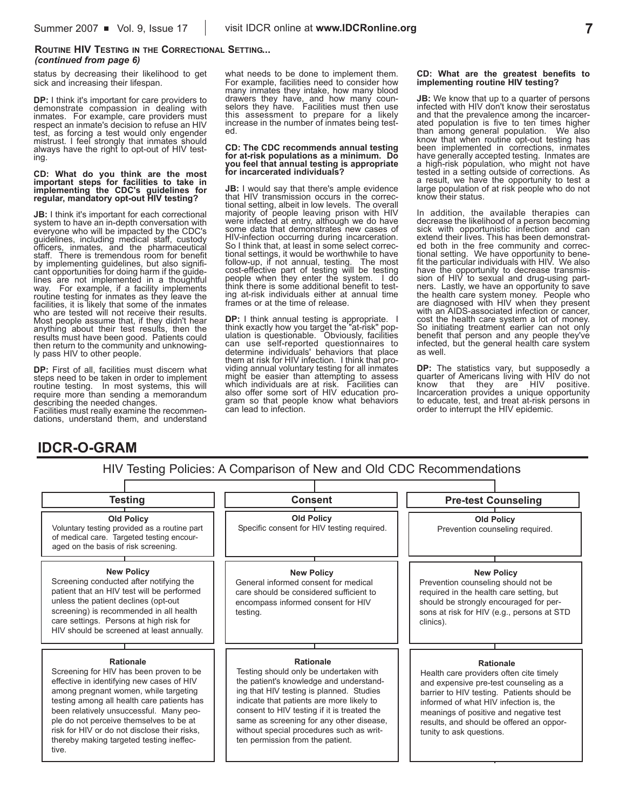### **ROUTINE HIV TESTING IN THE CORRECTIONAL SETTING...** *(continued from page 6)*

status by decreasing their likelihood to get sick and increasing their lifespan.

**DP:** I think it's important for care providers to demonstrate compassion in dealing with inmates. For example, care providers must respect an inmate's decision to refuse an HIV test, as forcing a test would only engender mistrust. I feel strongly that inmates should always have the right to opt-out of HIV testing.

#### **CD: What do you think are the most important steps for facilities to take in implementing the CDC\_s guidelines for regular, mandatory opt-out HIV testingh**

**JB:** I think it's important for each correctional system to have an in-depth conversation with everyone who will be impacted by the CDC's guidelines, including medical staff, custody officers, inmates, and the pharmaceutical staff. There is tremendous room for benefit by implementing guidelines, but also significant opportunities for doing harm if the guidelines are not implemented in a thoughtful way. For example, if a facility implements routine testing for inmates as they leave the facilities, it is likely that some of the inmates who are tested will not receive their results. Most people assume that, if they didn't hear anything about their test results, then the results must have been good. Patients could then return to the community and unknowingly pass HIV to other people.

DP: First of all, facilities must discern what steps need to be taken in order to implement routine testing. In most systems, this will require more than sending a memorandum describing the needed changes. Facilities must really examine the recommendations, understand them, and understand what needs to be done to implement them. For example, facilities need to consider how many inmates they intake, how many blood drawers they have, and how many counselors they have. Facilities must then use this assessment to prepare for a likely increase in the number of inmates being tested.

#### **CD: The CDC recommends annual testing for at-risk populations as a minimum. Do you feel that annual testing is appropriate** for incarcerated individuals?

**JB:** I would say that there's ample evidence that HIV transmission occurs in the correctional setting, albeit in low levels. The overall majority of people leaving prison with HIV were infected at entry, although we do have some data that demonstrates new cases of HIV-infection occurring during incarceration. So I think that, at least in some select correctional settings, it would be worthwhile to have follow-up, if not annual, testing. The most cost-effective part of testing will be testing people when they enter the system. I do think there is some additional benefit to testing at-risk individuals either at annual time frames or at the time of release.

**DP:** I think annual testing is appropriate. I think exactly how you target the "at-risk" population is questionable. Obviously, facilities can use self-reported questionnaires to determine individuals' behaviors that place them at risk for HIV infection. I think that providing annual voluntary testing for all inmates might be easier than attempting to assess which individuals are at risk. Facilities can also offer some sort of HIV education program so that people know what behaviors can lead to infection.

#### **CD: What are the greatest benefits to implementing routine HIV testing?**

**JB:** We know that up to a quarter of persons infected with HIV don't know their serostatus and that the prevalence among the incarcerated population is five to ten times higher than among general population. We also know that when routine opt-out testing has been implemented in corrections, inmates have generally accepted testing. Inmates are a high-risk population, who might not have tested in a setting outside of corrections. As a result, we have the opportunity to test a large population of at risk people who do not know their status.

In addition, the available therapies can decrease the likelihood of a person becoming sick with opportunistic infection and can extend their lives. This has been demonstrated both in the free community and correctional setting. We have opportunity to benefit the particular individuals with HIV. We also have the opportunity to decrease transmission of HIV to sexual and drug-using partners. Lastly, we have an opportunity to save the health care system money. People who are diagnosed with HIV when they present cost the health care system a lot of money.<br>So initiating treatment earlier can not only benefit that person and any people they've infected, but the general health care system as well.

**DP:** The statistics vary, but supposedly a quarter of Americans living with HIV do not know that they are HIV positive.<br>Incarceration provides a unique opportunity to educate, test, and treat at-risk persons in order to interrupt the HIV epidemic.

## **IDCR-O-GRAM**

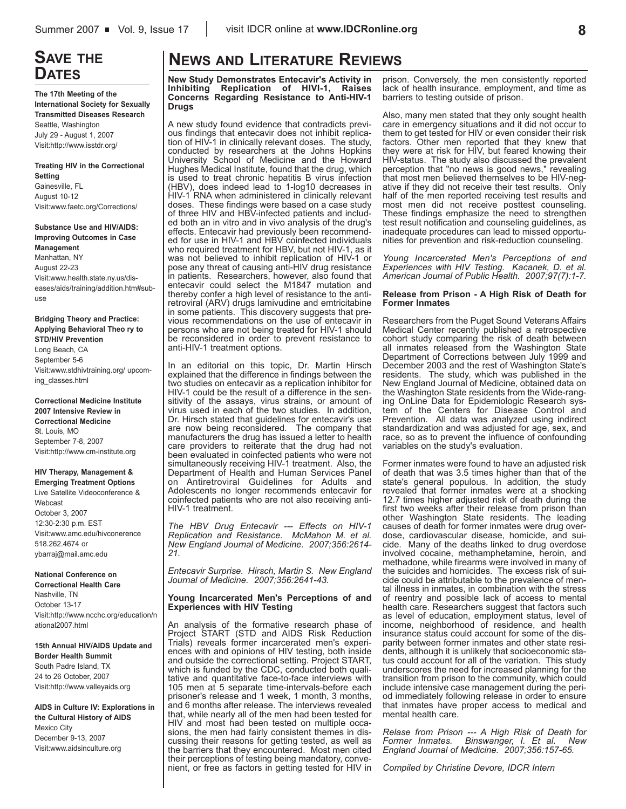# **SAVE THE DATES**

**The 17th Meeting of the International Society for Sexually Transmitted Diseases Research**  Seattle, Washington July 29 - August 1, 2007 Visit:http://www.isstdr.org/

#### **Treating HIV in the Correctional Setting**

Gainesville, FL August 10-12 Visit:www.faetc.org/Corrections/

#### **Substance Use and HIV/AIDS: Improving Outcomes in Case Management** Manhattan, NY

August 22-23 Visit:www.health.state.ny.us/diseases/aids/training/addition.htm#subuse

#### **Bridging Theory and Practice: Applying Behavioral Theo ry to STD/HIV Prevention**

Long Beach, CA September 5-6 Visit:www.stdhivtraining.org/ upcoming classes.html

#### **Correctional Medicine Institute 2007 Intensive Review in Correctional Medicine**

St. Louis, MO September 7-8, 2007 Visit:http://www.cm-institute.org

#### **HIV Therapy, Management ^ Emerging Treatment Options**

Live Satellite Videoconference & Webcast October 3, 2007 12:30-2:30 p.m. EST Visit:www.amc.edu/hivconerence 518.262.4674 or ybarraj@mail.amc.edu

#### **National Conference on**

**Correctional Health Care** Nashville, TN October 13-17 Visit:http://www.ncchc.org/education/n ational2007.html

#### **15th Annual HIV/AIDS Update and Border Health Summit** South Padre Island, TX 24 to 26 October, 2007 Visit:http://www.valleyaids.org

**AIDS in Culture IV: Explorations in the Cultural History of AIDS** Mexico City December 9-13, 2007 Visit:www.aidsinculture.org

# **NEWS AND LITERATURE REVIEWS**

**New Study Demonstrates Entecavir's Activity in Inhibiting Replication of HIVI-1, Raises Concerns Regarding Resistance to Anti-HIV-1 Drugs**

A new study found evidence that contradicts previous findings that entecavir does not inhibit replication of  $H\ddot{V}$ -1 in clinically relevant doses. The study, conducted by researchers at the Johns Hopkins University School of Medicine and the Howard Hughes Medical Institute, found that the drug, which is used to treat chronic hepatitis B virus infection (HBV), does indeed lead to 1-log10 decreases in HIV-1 RNA when administered in clinically relevant doses. These findings were based on a case study of three HIV and HBV-infected patients and included both an in vitro and in vivo analysis of the drug's effects. Entecavir had previously been recommended for use in HIV-1 and HBV coinfected individuals who required treatment for HBV, but not HIV-1, as it was not believed to inhibit replication of HIV-1 or pose any threat of causing anti-HIV drug resistance in patients. Researchers, however, also found that entecavir could select the M1847 mutation and thereby confer a high level of resistance to the antiretroviral (ARV) drugs lamivudine and emtricitabine in some patients. This discovery suggests that previous recommendations on the use of entecavir in persons who are not being treated for HIV-1 should be reconsidered in order to prevent resistance to anti-HIV-1 treatment options.

In an editorial on this topic, Dr. Martin Hirsch explained that the difference in findings between the two studies on entecavir as a replication inhibitor for HIV-1 could be the result of a difference in the sensitivity of the assays, virus strains, or amount of virus used in each of the two studies. In addition, Dr. Hirsch stated that guidelines for entecavir's use are now being reconsidered. The company that manufacturers the drug has issued a letter to health care providers to reiterate that the drug had not been evaluated in coinfected patients who were not simultaneously receiving HIV-1 treatment. Also, the Department of Health and Human Services Panel on Antiretroviral Guidelines for Adults and Adolescents no longer recommends entecavir for coinfected patients who are not also receiving anti-HIV-1 treatment.

*The HBV Drug Entecavir --- Effects on HIV-1 Replication and Resistance. McMahon M. et al. New England Journal of Medicine. 2007;356:2614- 21.*

*Entecavir Surprise. Hirsch, Martin S. New England Journal of Medicine. 2007;356:2641-43.*

#### **Young Incarcerated Men\_s Perceptions of and Experiences with HIV Testing**

An analysis of the formative research phase of Project START (STD and AIDS Risk Reduction Trials) reveals former incarcerated men's experiences with and opinions of HIV testing, both inside and outside the correctional setting. Project START, which is funded by the CDC, conducted both qualitative and quantitative face-to-face interviews with 105 men at 5 separate time-intervals-before each prisoner's release and 1 week, 1 month, 3 months, and 6 months after release. The interviews revealed that, while nearly all of the men had been tested for HIV and most had been tested on multiple occasions, the men had fairly consistent themes in discussing their reasons for getting tested, as well as the barriers that they encountered. Most men cited their perceptions of testing being mandatory, convenient, or free as factors in getting tested for HIV in prison. Conversely, the men consistently reported lack of health insurance, employment, and time as barriers to testing outside of prison.

Also, many men stated that they only sought health care in emergency situations and it did not occur to them to get tested for HIV or even consider their risk factors. Other men reported that they knew that they were at risk for HIV, but feared knowing their HIV-status. The study also discussed the prevalent perception that "no news is good news," revealing that most men believed themselves to be HIV-neqative if they did not receive their test results. Only half of the men reported receiving test results and most men did not receive posttest counseling. These findings emphasize the need to strengthen test result notification and counseling guidelines, as inadequate procedures can lead to missed opportunities for prevention and risk-reduction counseling.

*Young Incarcerated Men's Perceptions of and Experiences with HIV Testing. Kacanek, D. et al. American Journal of Public Health. 2007;97(7):1-7.*

#### **Release from Prison - A High Risk of Death for Former Inmates**

Researchers from the Puget Sound Veterans Affairs Medical Center recently published a retrospective cohort study comparing the risk of death between all inmates released from the Washington State Department of Corrections between July 1999 and December 2003 and the rest of Washington State's residents. The study, which was published in the New England Journal of Medicine, obtained data on the Washington State residents from the Wide-ranging OnLine Data for Epidemiologic Research system of the Centers for Disease Control and Prevention. All data was analyzed using indirect standardization and was adjusted for age, sex, and race, so as to prevent the influence of confounding variables on the study's evaluation.

Former inmates were found to have an adjusted risk of death that was 3.5 times higher than that of the state's general populous. In addition, the study revealed that former inmates were at a shocking 12.7 times higher adjusted risk of death during the first two weeks after their release from prison than other Washington State residents. The leading causes of death for former inmates were drug overdose, cardiovascular disease, homicide, and suicide. Many of the deaths linked to drug overdose involved cocaine, methamphetamine, heroin, and methadone, while firearms were involved in many of the suicides and homicides. The excess risk of suicide could be attributable to the prevalence of mental illness in inmates, in combination with the stress of reentry and possible lack of access to mental health care. Researchers suggest that factors such as level of education, employment status, level of income, neighborhood of residence, and health insurance status could account for some of the disparity between former inmates and other state residents, although it is unlikely that socioeconomic status could account for all of the variation. This study underscores the need for increased planning for the transition from prison to the community, which could include intensive case management during the period immediately following release in order to ensure that inmates have proper access to medical and mental health care.

*Relase from Prison --- A High Risk of Death for <i>Binswanger, I. Et al. England Journal of Medicine. 2007;356:157-65.*

*Compiled by Christine Devore, IDCR Intern*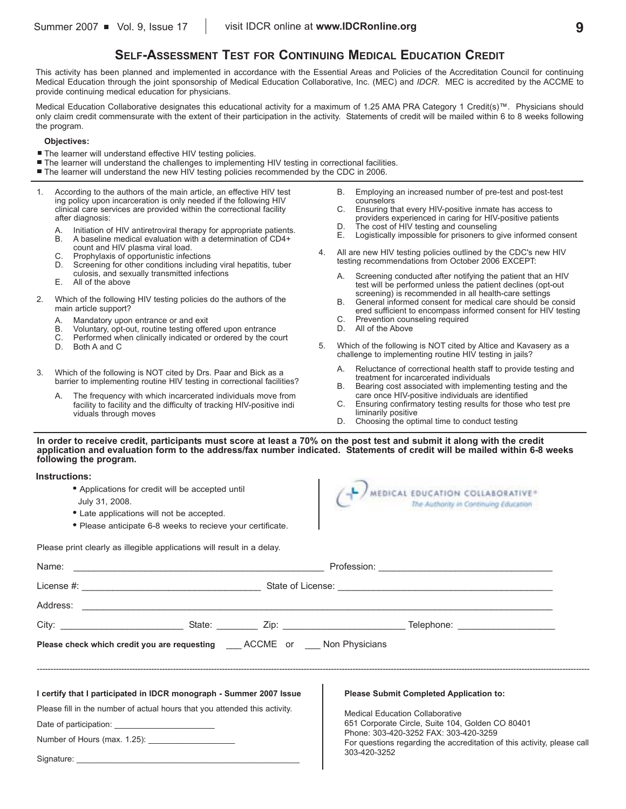## **SELF-ASSESSMENT TEST FOR CONTINUING MEDICAL EDUCATION CREDIT**

This activity has been planned and implemented in accordance with the Essential Areas and Policies of the Accreditation Council for continuing Medical Education through the joint sponsorship of Medical Education Collaborative, Inc. (MEC) and *IDCR*. MEC is accredited by the ACCME to provide continuing medical education for physicians.

Medical Education Collaborative designates this educational activity for a maximum of 1.25 AMA PRA Category 1 Credit(s)™. Physicians should only claim credit commensurate with the extent of their participation in the activity. Statements of credit will be mailed within 6 to 8 weeks following the program.

#### **Objectives:**

- The learner will understand effective HIV testing policies.
- The learner will understand the challenges to implementing HIV testing in correctional facilities.
- **. The learner will understand the new HIV testing policies recommended by the CDC in 2006.**
- 1. According to the authors of the main article, an effective HIV test ing policy upon incarceration is only needed if the following HIV clinical care services are provided within the correctional facility after diagnosis:
	- A. Initiation of HIV antiretroviral therapy for appropriate patients.
	- B. A baseline medical evaluation with a determination of CD4+ count and HIV plasma viral load.
	- C. Prophylaxis of opportunistic infections
	- D. Screening for other conditions including viral hepatitis, tuber culosis, and sexually transmitted infections
	- E. All of the above
- 2. Which of the following HIV testing policies do the authors of the main article support?
	- A. Mandatory upon entrance or and exit B. Voluntary, opt-out, routine testing offer
	- B. Voluntary, opt-out, routine testing offered upon entrance
	- C. Performed when clinically indicated or ordered by the court
	- D. Both A and C
- 3. Which of the following is NOT cited by Drs. Paar and Bick as a barrier to implementing routine HIV testing in correctional facilities?
	- A. The frequency with which incarcerated individuals move from facility to facility and the difficulty of tracking HIV-positive indi viduals through moves
- B. Employing an increased number of pre-test and post-test counselors
- C. Ensuring that every HIV-positive inmate has access to providers experienced in caring for HIV-positive patients
- D. The cost of HIV testing and counseling<br>E. Logistically impossible for prisoners to a
- Logistically impossible for prisoners to give informed consent
- 4. All are new HIV testing policies outlined by the CDC's new HIV testing recommendations from October 2006 EXCEPT:
	- A. Screening conducted after notifying the patient that an HIV test will be performed unless the patient declines (opt-out screening) is recommended in all health-care settings
	- B. General informed consent for medical care should be consid ered sufficient to encompass informed consent for HIV testing
	- C. Prevention counseling required
	- D. All of the Above
- 5. Which of the following is NOT cited by Altice and Kavasery as a challenge to implementing routine HIV testing in jails?
	- A. Reluctance of correctional health staff to provide testing and treatment for incarcerated individuals
	- B. Bearing cost associated with implementing testing and the care once HIV-positive individuals are identified
	- C. Ensuring confirmatory testing results for those who test pre liminarily positive
	- D. Choosing the optimal time to conduct testing

**In order to receive credit, participants must score at least a 70% on the post test and submit it along with the credit**  application and evaluation form to the address/fax number indicated. Statements of credit will be mailed within 6-8 weeks **following the program.**

#### **Instructions:**

- **k** Applications for credit will be accepted until
- July 31, 2008.
- Late applications will not be accepted.
- Please anticipate 6-8 weeks to recieve your certificate.

 $\bigcap$  MEDICAL EDUCATION COLLABORATIVE The Authority in Continuing Education

Please print clearly as illegible applications will result in a delay.

|                                                                            | <b>Please check which credit you are requesting COCME</b> or Non Physicians |                                                                                                                  |  |  |  |  |
|----------------------------------------------------------------------------|-----------------------------------------------------------------------------|------------------------------------------------------------------------------------------------------------------|--|--|--|--|
|                                                                            |                                                                             |                                                                                                                  |  |  |  |  |
|                                                                            | I certify that I participated in IDCR monograph - Summer 2007 Issue         | <b>Please Submit Completed Application to:</b>                                                                   |  |  |  |  |
| Please fill in the number of actual hours that you attended this activity. |                                                                             | <b>Medical Education Collaborative</b><br>651 Corporate Circle, Suite 104, Golden CO 80401                       |  |  |  |  |
|                                                                            |                                                                             |                                                                                                                  |  |  |  |  |
|                                                                            |                                                                             | Phone: 303-420-3252 FAX: 303-420-3259<br>For questions regarding the accreditation of this activity, please call |  |  |  |  |
|                                                                            |                                                                             | 303-420-3252                                                                                                     |  |  |  |  |